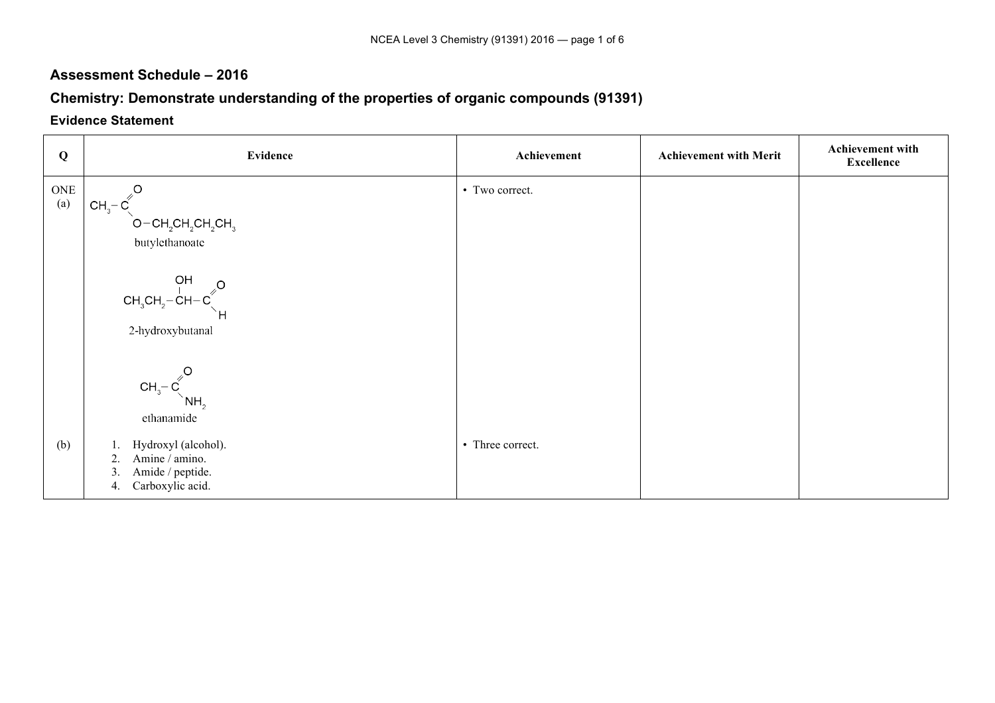## **Assessment Schedule – 2016**

## **Chemistry: Demonstrate understanding of the properties of organic compounds (91391)**

## **Evidence Statement**

| Q                                                     | Evidence                                                                                                                                                                                                                                                                                                                                                                        | Achievement      | <b>Achievement with Merit</b> | Achievement with<br><b>Excellence</b> |
|-------------------------------------------------------|---------------------------------------------------------------------------------------------------------------------------------------------------------------------------------------------------------------------------------------------------------------------------------------------------------------------------------------------------------------------------------|------------------|-------------------------------|---------------------------------------|
| $\begin{array}{c} {\rm ONE} \\ {\rm (a)} \end{array}$ | $\circ$<br>$CH_3-C$<br>$O - CH_2CH_2CH_2CH_3$<br>butylethanoate<br>$\begin{array}{c}\n\mathsf{CH}^{\mathsf{I}}_{2}\mathsf{CH}^{\mathsf{I}}_{2}\mathsf{CH}^{\mathsf{I}}\mathsf{CH}^{\mathsf{I}}_{\mathsf{I}}\\ \mathsf{CH}^{\mathsf{I}}_{3}\mathsf{CH}^{\mathsf{I}}_{2}\mathsf{CH}^{\mathsf{I}}\mathsf{CH}^{\mathsf{I}}_{\mathsf{I}}\mathsf{H}\n\end{array}$<br>2-hydroxybutanal | • Two correct.   |                               |                                       |
| (b)                                                   | $CH_3-C$<br>$\mathsf{NH}_{2}$<br>ethanamide<br>Hydroxyl (alcohol).<br>Amine / amino.<br>2.<br>Amide / peptide.<br>3.<br>Carboxylic acid.<br>4.                                                                                                                                                                                                                                  | • Three correct. |                               |                                       |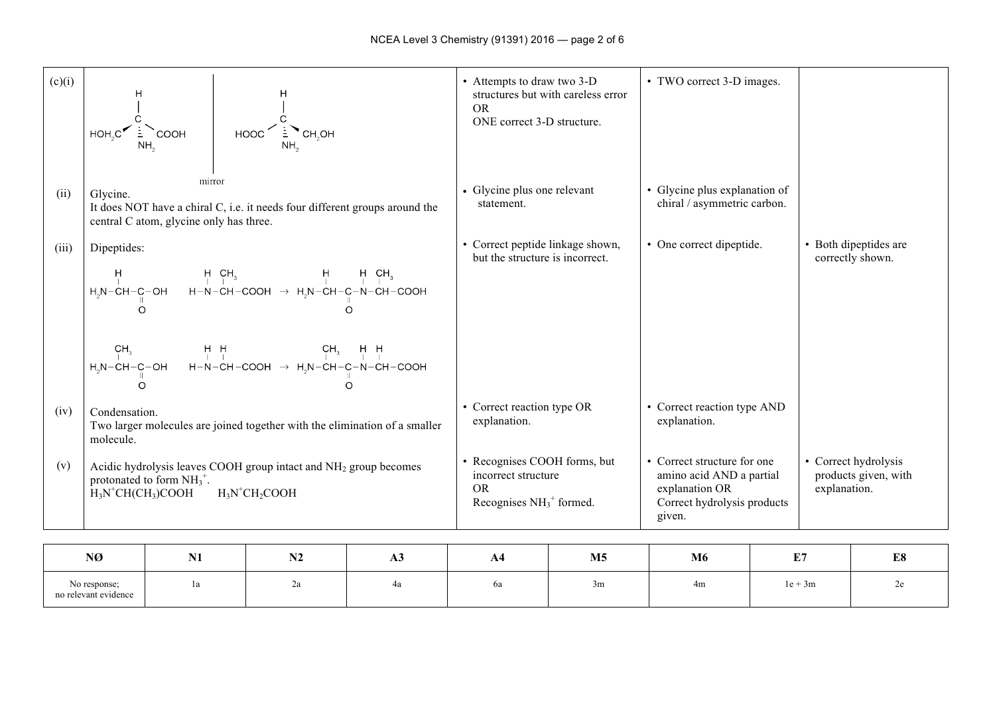| (c)(i) | $\begin{array}{c c}\n\downarrow & \downarrow & \downarrow \\ C & C & \downarrow & \downarrow \\ \downarrow & \downarrow & \downarrow & \downarrow \\ \downarrow & \downarrow & \downarrow & \downarrow \\ \downarrow & \downarrow & \downarrow & \downarrow \\ \downarrow & \downarrow & \downarrow & \downarrow \\ \downarrow & \downarrow & \downarrow & \downarrow \\ \downarrow & \downarrow & \downarrow & \downarrow \\ \downarrow & \downarrow & \downarrow & \downarrow \\ \downarrow & \downarrow & \downarrow & \downarrow \\ \downarrow & \downarrow & \downarrow & \downarrow \\ \downarrow & \downarrow & \downarrow & \downarrow \\ \downarrow & \downarrow & \downarrow & \downarrow \\ \downarrow & \downarrow & \down$ | • Attempts to draw two 3-D<br>structures but with careless error<br>OR.<br>ONE correct 3-D structure. | • TWO correct 3-D images.                                                                                          |                                                              |
|--------|-----------------------------------------------------------------------------------------------------------------------------------------------------------------------------------------------------------------------------------------------------------------------------------------------------------------------------------------------------------------------------------------------------------------------------------------------------------------------------------------------------------------------------------------------------------------------------------------------------------------------------------------------------------------------------------------------------------------------------------------|-------------------------------------------------------------------------------------------------------|--------------------------------------------------------------------------------------------------------------------|--------------------------------------------------------------|
| (ii)   | mirror<br>Glycine.<br>It does NOT have a chiral C, i.e. it needs four different groups around the<br>central C atom, glycine only has three.                                                                                                                                                                                                                                                                                                                                                                                                                                                                                                                                                                                            | • Glycine plus one relevant<br>statement.                                                             | • Glycine plus explanation of<br>chiral / asymmetric carbon.                                                       |                                                              |
| (iii)  | Dipeptides:                                                                                                                                                                                                                                                                                                                                                                                                                                                                                                                                                                                                                                                                                                                             | • Correct peptide linkage shown,<br>but the structure is incorrect.                                   | • One correct dipeptide.                                                                                           | • Both dipeptides are<br>correctly shown.                    |
| (iv)   | Condensation.<br>Two larger molecules are joined together with the elimination of a smaller<br>molecule.                                                                                                                                                                                                                                                                                                                                                                                                                                                                                                                                                                                                                                | • Correct reaction type OR<br>explanation.                                                            | • Correct reaction type AND<br>explanation.                                                                        |                                                              |
| (v)    | Acidic hydrolysis leaves COOH group intact and $NH2$ group becomes<br>protonated to form $NH_3^+$ .<br>$H_3N^+CH_2COOH$<br>$H_3N^+CH(CH_3)COOH$                                                                                                                                                                                                                                                                                                                                                                                                                                                                                                                                                                                         | • Recognises COOH forms, but<br>incorrect structure<br>OR.<br>Recognises $NH_3^+$ formed.             | • Correct structure for one<br>amino acid AND a partial<br>explanation OR<br>Correct hydrolysis products<br>given. | • Correct hydrolysis<br>products given, with<br>explanation. |

| NØ                                                    | <b>BT4</b><br><b>IAT</b> | N2 | ДJ | А4 | M <sub>5</sub> | M6 | <b>THE</b><br><u>ы</u> | D.O<br>ு |
|-------------------------------------------------------|--------------------------|----|----|----|----------------|----|------------------------|----------|
| No response;<br>$\sim$ $\sim$<br>no relevant evidence | 1a                       | ∸u |    | oa | 3m             | 4m | $1e + 3m$              | -        |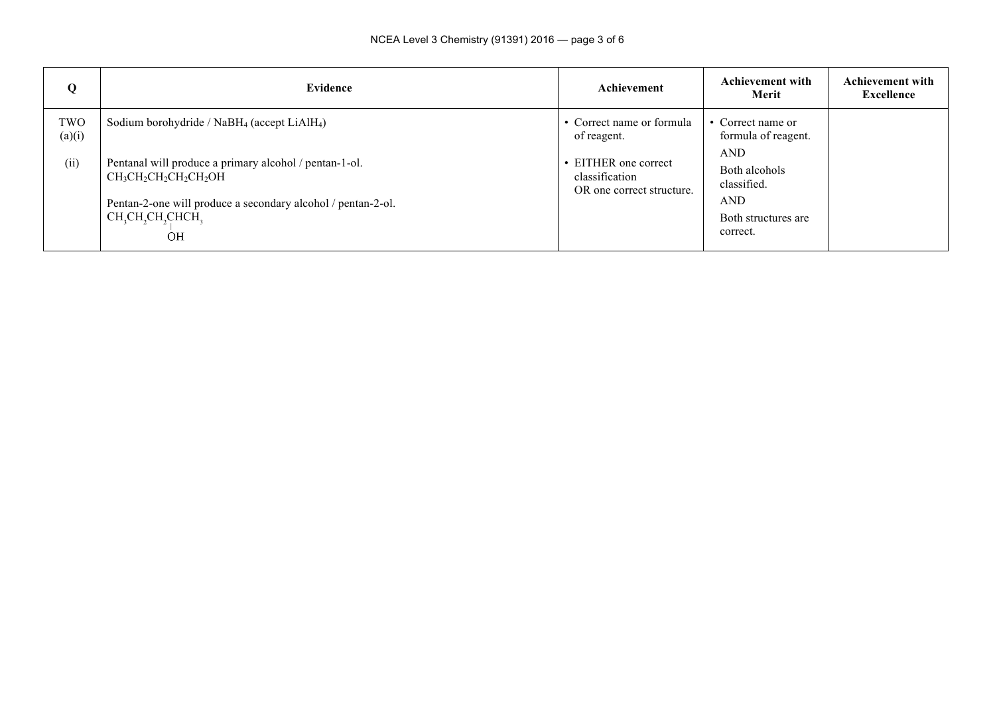| Q             | Evidence                                                                                                                                                                                                                             | Achievement                                                         | <b>Achievement with</b><br>Merit                                              | <b>Achievement with</b><br><b>Excellence</b> |
|---------------|--------------------------------------------------------------------------------------------------------------------------------------------------------------------------------------------------------------------------------------|---------------------------------------------------------------------|-------------------------------------------------------------------------------|----------------------------------------------|
| TWO<br>(a)(i) | Sodium borohydride / $N$ a $BH4$ (accept LiAl $H4$ )                                                                                                                                                                                 | • Correct name or formula<br>of reagent.                            | • Correct name or<br>formula of reagent.<br><b>AND</b>                        |                                              |
| (ii)          | Pentanal will produce a primary alcohol / pentan-1-ol.<br>$CH_3CH_2CH_2CH_2CH_2OH$<br>Pentan-2-one will produce a secondary alcohol / pentan-2-ol.<br>CH <sub>2</sub> CH <sub>2</sub> CH <sub>2</sub> CHCH <sub>2</sub><br><b>OH</b> | • EITHER one correct<br>classification<br>OR one correct structure. | Both alcohols<br>classified.<br><b>AND</b><br>Both structures are<br>correct. |                                              |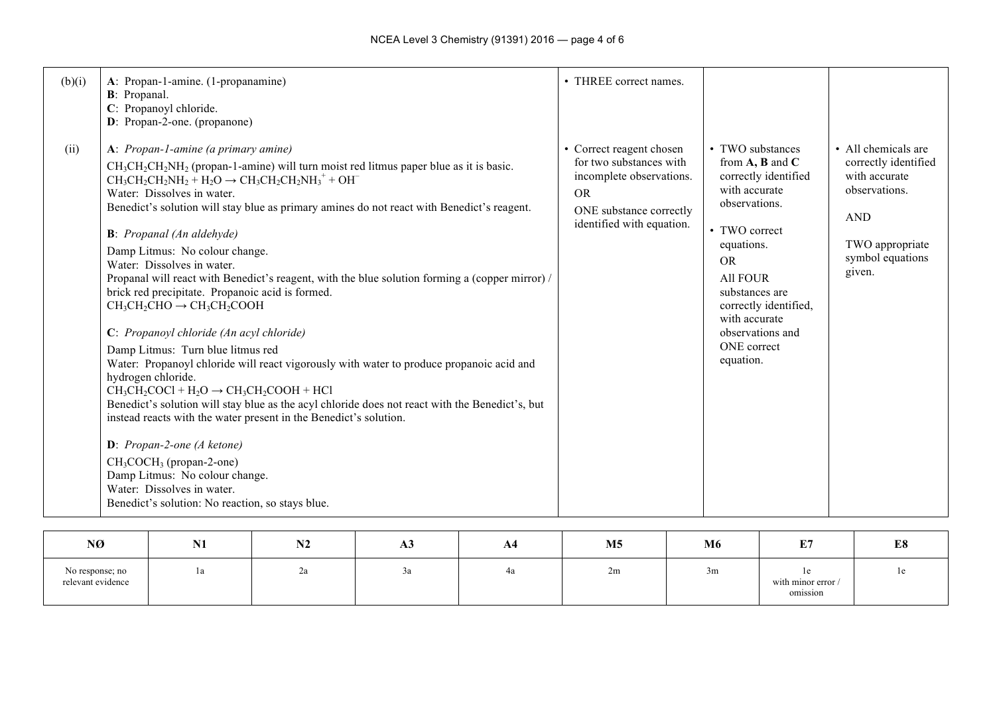| (b)(i) | A: Propan-1-amine. (1-propanamine)<br><b>B</b> : Propanal.<br>C: Propanoyl chloride.<br>D: Propan-2-one. (propanone)                                                                                                                                                                                                                                                                                                                                                                                                                                                                                                                                                                                                                                                                                                                                                                                                                                                                                                                                                                                                                                                                                                                                                           | • THREE correct names.                                                                                                                               |                                                                                                                                                                                                                                                                                 |                                                                                                                                              |
|--------|--------------------------------------------------------------------------------------------------------------------------------------------------------------------------------------------------------------------------------------------------------------------------------------------------------------------------------------------------------------------------------------------------------------------------------------------------------------------------------------------------------------------------------------------------------------------------------------------------------------------------------------------------------------------------------------------------------------------------------------------------------------------------------------------------------------------------------------------------------------------------------------------------------------------------------------------------------------------------------------------------------------------------------------------------------------------------------------------------------------------------------------------------------------------------------------------------------------------------------------------------------------------------------|------------------------------------------------------------------------------------------------------------------------------------------------------|---------------------------------------------------------------------------------------------------------------------------------------------------------------------------------------------------------------------------------------------------------------------------------|----------------------------------------------------------------------------------------------------------------------------------------------|
| (ii)   | A: Propan-1-amine (a primary amine)<br>$CH_3CH_2CH_2NH_2$ (propan-1-amine) will turn moist red litmus paper blue as it is basic.<br>$CH_3CH_2CH_2NH_2 + H_2O \rightarrow CH_3CH_2CH_2NH_3^+ + OH^-$<br>Water: Dissolves in water.<br>Benedict's solution will stay blue as primary amines do not react with Benedict's reagent.<br><b>B</b> : Propanal (An aldehyde)<br>Damp Litmus: No colour change.<br>Water: Dissolves in water.<br>Propanal will react with Benedict's reagent, with the blue solution forming a (copper mirror) /<br>brick red precipitate. Propanoic acid is formed.<br>$CH_3CH_2CHO \rightarrow CH_3CH_2COOH$<br>C: Propanoyl chloride (An acyl chloride)<br>Damp Litmus: Turn blue litmus red<br>Water: Propanoyl chloride will react vigorously with water to produce propanoic acid and<br>hydrogen chloride.<br>$CH_3CH_2COCl + H_2O \rightarrow CH_3CH_2COOH + HCl$<br>Benedict's solution will stay blue as the acyl chloride does not react with the Benedict's, but<br>instead reacts with the water present in the Benedict's solution.<br>D: Propan-2-one (A ketone)<br>CH <sub>3</sub> COCH <sub>3</sub> (propan-2-one)<br>Damp Litmus: No colour change.<br>Water: Dissolves in water.<br>Benedict's solution: No reaction, so stays blue. | • Correct reagent chosen<br>for two substances with<br>incomplete observations.<br><b>OR</b><br>ONE substance correctly<br>identified with equation. | • TWO substances<br>from $A$ , $B$ and $C$<br>correctly identified<br>with accurate<br>observations.<br>• TWO correct<br>equations.<br><b>OR</b><br><b>All FOUR</b><br>substances are<br>correctly identified,<br>with accurate<br>observations and<br>ONE correct<br>equation. | • All chemicals are<br>correctly identified<br>with accurate<br>observations.<br><b>AND</b><br>TWO appropriate<br>symbol equations<br>given. |

| NØ                                   | <b>BT4</b><br>NI | <b>NIA</b><br>NZ. | ДJ | ${\bf A4}$ | M <sub>5</sub> | M6 | $E_{\rm{H}}$<br>щ.                          | E8     |
|--------------------------------------|------------------|-------------------|----|------------|----------------|----|---------------------------------------------|--------|
| No response; no<br>relevant evidence | 1a               | ∠a                | Ja | 4a         | 2m             | 3m | $\ddotsc$<br>with minor error /<br>omission | $\sim$ |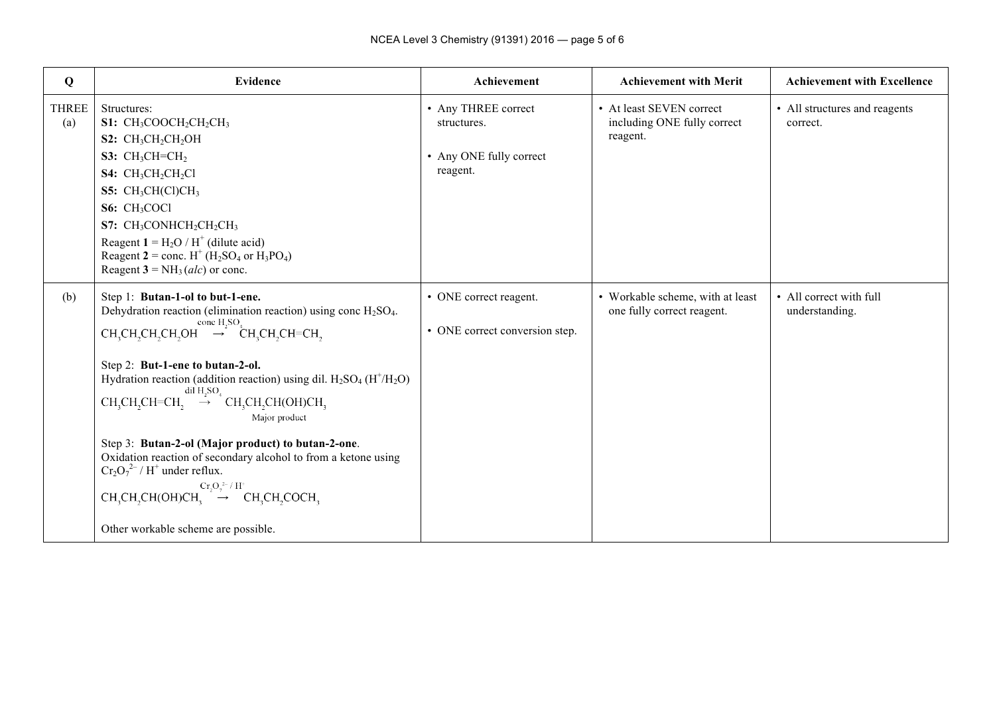| Q                   | <b>Evidence</b>                                                                                                                                                                                                                                                                                                                                                                                                                                                                                                                                                                                                                                                               | Achievement                                              | <b>Achievement with Merit</b>                                       | <b>Achievement with Excellence</b>        |
|---------------------|-------------------------------------------------------------------------------------------------------------------------------------------------------------------------------------------------------------------------------------------------------------------------------------------------------------------------------------------------------------------------------------------------------------------------------------------------------------------------------------------------------------------------------------------------------------------------------------------------------------------------------------------------------------------------------|----------------------------------------------------------|---------------------------------------------------------------------|-------------------------------------------|
| <b>THREE</b><br>(a) | Structures:<br>$SI: CH_3COOCH_2CH_2CH_3$<br>$S2: CH3CH2CH2OH$                                                                                                                                                                                                                                                                                                                                                                                                                                                                                                                                                                                                                 | • Any THREE correct<br>structures.                       | • At least SEVEN correct<br>including ONE fully correct<br>reagent. | • All structures and reagents<br>correct. |
|                     | S3: $CH_3CH=CH_2$<br>$S4$ : $CH_3CH_2CH_2Cl$<br>S5: $CH_3CH(Cl)CH_3$<br>S6: CH <sub>3</sub> COCl<br>S7: CH <sub>3</sub> CONHCH <sub>2</sub> CH <sub>2</sub> CH <sub>3</sub><br>Reagent $1 = H_2O/H^+$ (dilute acid)<br>Reagent $2 = \text{conc. H}^+$ (H <sub>2</sub> SO <sub>4</sub> or H <sub>3</sub> PO <sub>4</sub> )<br>Reagent $3 = NH_3(alc)$ or conc.                                                                                                                                                                                                                                                                                                                 | • Any ONE fully correct<br>reagent.                      |                                                                     |                                           |
| (b)                 | Step 1: Butan-1-ol to but-1-ene.<br>Dehydration reaction (elimination reaction) using conc $H_2SO_4$ .<br>conc $H, SO4$<br>$CH, CH, CH, CH, OH \rightarrow CH, CH, CH=CH,$<br>Step 2: But-1-ene to butan-2-ol.<br>Hydration reaction (addition reaction) using dil. $H_2SO_4 (H^+ / H_2O)$<br>dil $H_2SO_4$<br>$CH_2CH_2CH=CH$ , $\rightarrow$ $CH_2CH_2CH(OH)CH$ ,<br>Major product<br>Step 3: Butan-2-ol (Major product) to butan-2-one.<br>Oxidation reaction of secondary alcohol to from a ketone using<br>$Cr_2O_7^{2-}$ / H <sup>+</sup> under reflux.<br>$Cr_2O_7^{2-}/H^+$<br>$CH_2CH_2CH(OH)CH_3 \rightarrow CH_2CH_2COCH_3$<br>Other workable scheme are possible. | • ONE correct reagent.<br>• ONE correct conversion step. | • Workable scheme, with at least<br>one fully correct reagent.      | • All correct with full<br>understanding. |